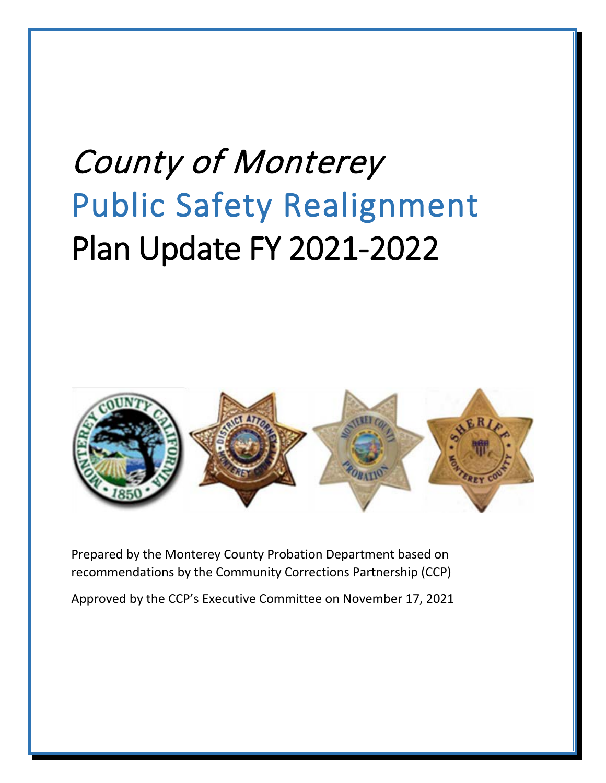# County of Monterey Public Safety Realignment Plan Update FY 2021-2022



Prepared by the Monterey County Probation Department based on recommendations by the Community Corrections Partnership (CCP)

Approved by the CCP's Executive Committee on November 17, 2021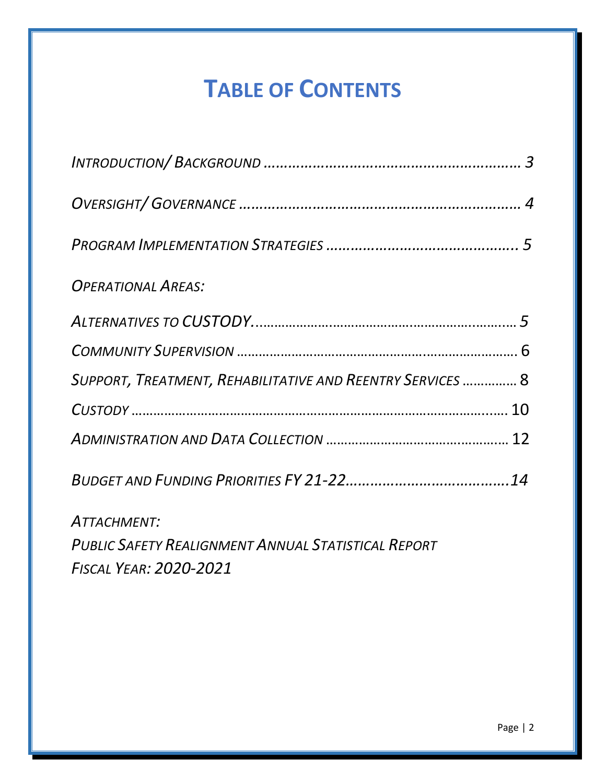## **TABLE OF CONTENTS**

| <b>OPERATIONAL AREAS:</b>                                  |
|------------------------------------------------------------|
|                                                            |
|                                                            |
| SUPPORT, TREATMENT, REHABILITATIVE AND REENTRY SERVICES  8 |
|                                                            |
|                                                            |
|                                                            |
| ATTACHMENT:                                                |
| <b>PUBLIC SAFETY REALIGNMENT ANNUAL STATISTICAL REPORT</b> |

*FISCAL YEAR: 2020-2021*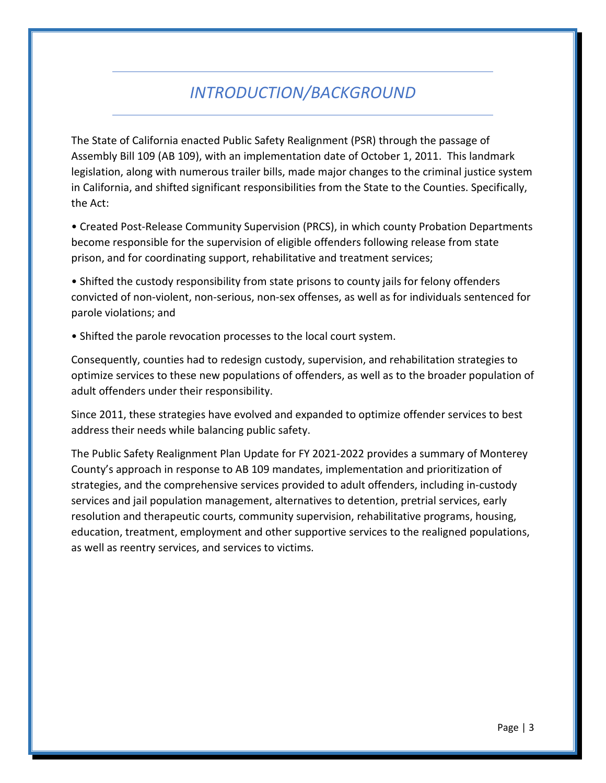## *INTRODUCTION/BACKGROUND*

The State of California enacted Public Safety Realignment (PSR) through the passage of Assembly Bill 109 (AB 109), with an implementation date of October 1, 2011. This landmark legislation, along with numerous trailer bills, made major changes to the criminal justice system in California, and shifted significant responsibilities from the State to the Counties. Specifically, the Act:

• Created Post‐Release Community Supervision (PRCS), in which county Probation Departments become responsible for the supervision of eligible offenders following release from state prison, and for coordinating support, rehabilitative and treatment services;

• Shifted the custody responsibility from state prisons to county jails for felony offenders convicted of non‐violent, non‐serious, non‐sex offenses, as well as for individuals sentenced for parole violations; and

• Shifted the parole revocation processes to the local court system.

Consequently, counties had to redesign custody, supervision, and rehabilitation strategies to optimize services to these new populations of offenders, as well as to the broader population of adult offenders under their responsibility.

Since 2011, these strategies have evolved and expanded to optimize offender services to best address their needs while balancing public safety.

The Public Safety Realignment Plan Update for FY 2021-2022 provides a summary of Monterey County's approach in response to AB 109 mandates, implementation and prioritization of strategies, and the comprehensive services provided to adult offenders, including in-custody services and jail population management, alternatives to detention, pretrial services, early resolution and therapeutic courts, community supervision, rehabilitative programs, housing, education, treatment, employment and other supportive services to the realigned populations, as well as reentry services, and services to victims.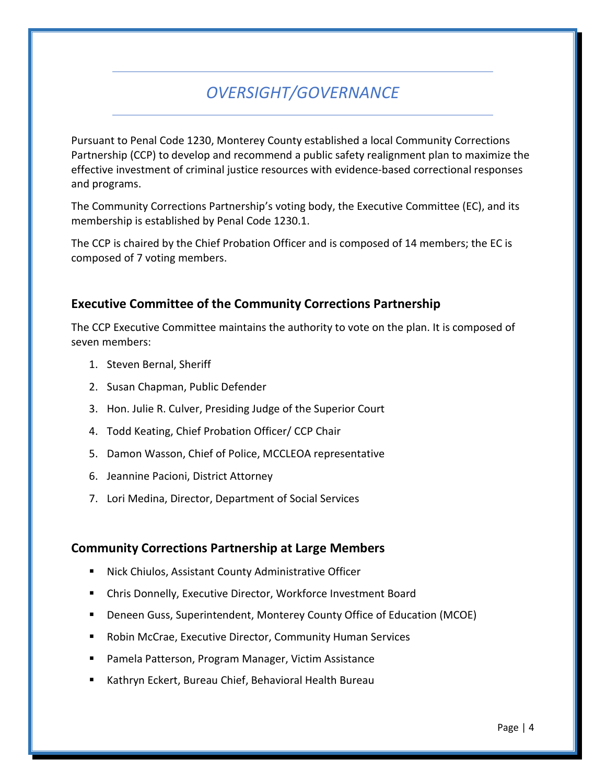## *OVERSIGHT/GOVERNANCE*

Pursuant to Penal Code 1230, Monterey County established a local Community Corrections Partnership (CCP) to develop and recommend a public safety realignment plan to maximize the effective investment of criminal justice resources with evidence-based correctional responses and programs.

The Community Corrections Partnership's voting body, the Executive Committee (EC), and its membership is established by Penal Code 1230.1.

The CCP is chaired by the Chief Probation Officer and is composed of 14 members; the EC is composed of 7 voting members.

#### **Executive Committee of the Community Corrections Partnership**

The CCP Executive Committee maintains the authority to vote on the plan. It is composed of seven members:

- 1. Steven Bernal, Sheriff
- 2. Susan Chapman, Public Defender
- 3. Hon. Julie R. Culver, Presiding Judge of the Superior Court
- 4. Todd Keating, Chief Probation Officer/ CCP Chair
- 5. Damon Wasson, Chief of Police, MCCLEOA representative
- 6. Jeannine Pacioni, District Attorney
- 7. Lori Medina, Director, Department of Social Services

#### **Community Corrections Partnership at Large Members**

- Nick Chiulos, Assistant County Administrative Officer
- Chris Donnelly, Executive Director, Workforce Investment Board
- Deneen Guss, Superintendent, Monterey County Office of Education (MCOE)
- Robin McCrae, Executive Director, Community Human Services
- Pamela Patterson, Program Manager, Victim Assistance
- Kathryn Eckert, Bureau Chief, Behavioral Health Bureau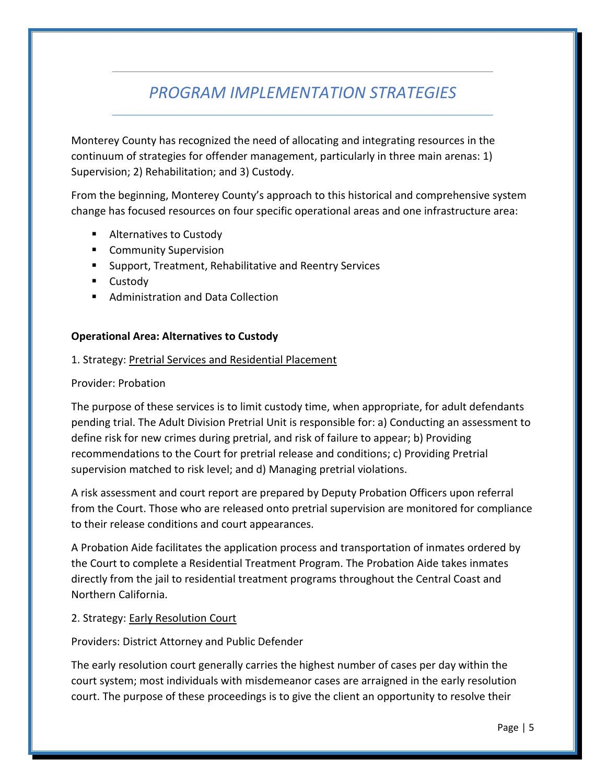## *PROGRAM IMPLEMENTATION STRATEGIES*

Monterey County has recognized the need of allocating and integrating resources in the continuum of strategies for offender management, particularly in three main arenas: 1) Supervision; 2) Rehabilitation; and 3) Custody.

From the beginning, Monterey County's approach to this historical and comprehensive system change has focused resources on four specific operational areas and one infrastructure area:

- Alternatives to Custody
- **EXECOMMUNITY Supervision**
- **Support, Treatment, Rehabilitative and Reentry Services**
- **Custody**
- Administration and Data Collection

#### **Operational Area: Alternatives to Custody**

#### 1. Strategy: Pretrial Services and Residential Placement

#### Provider: Probation

The purpose of these services is to limit custody time, when appropriate, for adult defendants pending trial. The Adult Division Pretrial Unit is responsible for: a) Conducting an assessment to define risk for new crimes during pretrial, and risk of failure to appear; b) Providing recommendations to the Court for pretrial release and conditions; c) Providing Pretrial supervision matched to risk level; and d) Managing pretrial violations.

A risk assessment and court report are prepared by Deputy Probation Officers upon referral from the Court. Those who are released onto pretrial supervision are monitored for compliance to their release conditions and court appearances.

A Probation Aide facilitates the application process and transportation of inmates ordered by the Court to complete a Residential Treatment Program. The Probation Aide takes inmates directly from the jail to residential treatment programs throughout the Central Coast and Northern California.

#### 2. Strategy: Early Resolution Court

#### Providers: District Attorney and Public Defender

The early resolution court generally carries the highest number of cases per day within the court system; most individuals with misdemeanor cases are arraigned in the early resolution court. The purpose of these proceedings is to give the client an opportunity to resolve their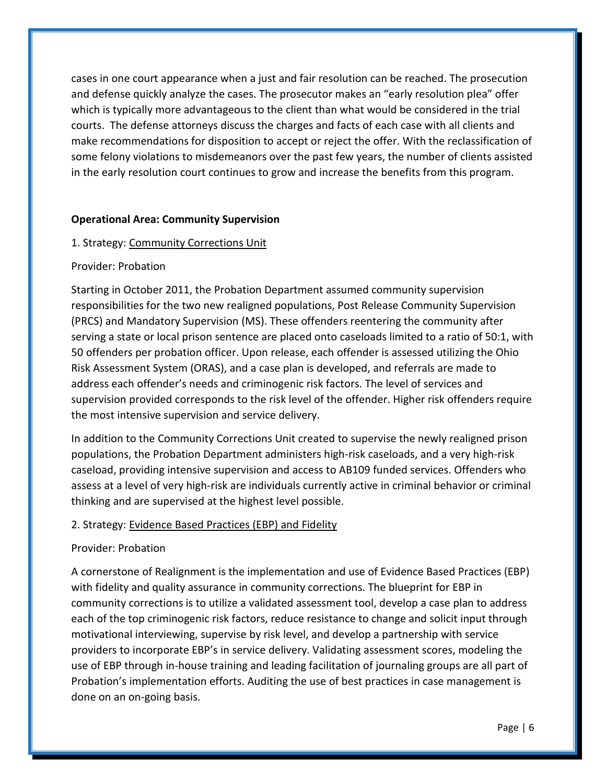cases in one court appearance when a just and fair resolution can be reached. The prosecution and defense quickly analyze the cases. The prosecutor makes an "early resolution plea" offer which is typically more advantageous to the client than what would be considered in the trial courts. The defense attorneys discuss the charges and facts of each case with all clients and make recommendations for disposition to accept or reject the offer. With the reclassification of some felony violations to misdemeanors over the past few years, the number of clients assisted in the early resolution court continues to grow and increase the benefits from this program.

#### **Operational Area: Community Supervision**

#### 1. Strategy: Community Corrections Unit

#### Provider: Probation

Starting in October 2011, the Probation Department assumed community supervision responsibilities for the two new realigned populations, Post Release Community Supervision (PRCS) and Mandatory Supervision (MS). These offenders reentering the community after serving a state or local prison sentence are placed onto caseloads limited to a ratio of 50:1, with 50 offenders per probation officer. Upon release, each offender is assessed utilizing the Ohio Risk Assessment System (ORAS), and a case plan is developed, and referrals are made to address each offender's needs and criminogenic risk factors. The level of services and supervision provided corresponds to the risk level of the offender. Higher risk offenders require the most intensive supervision and service delivery.

In addition to the Community Corrections Unit created to supervise the newly realigned prison populations, the Probation Department administers high-risk caseloads, and a very high-risk caseload, providing intensive supervision and access to AB109 funded services. Offenders who assess at a level of very high-risk are individuals currently active in criminal behavior or criminal thinking and are supervised at the highest level possible.

#### 2. Strategy: Evidence Based Practices (EBP) and Fidelity

#### Provider: Probation

A cornerstone of Realignment is the implementation and use of Evidence Based Practices (EBP) with fidelity and quality assurance in community corrections. The blueprint for EBP in community corrections is to utilize a validated assessment tool, develop a case plan to address each of the top criminogenic risk factors, reduce resistance to change and solicit input through motivational interviewing, supervise by risk level, and develop a partnership with service providers to incorporate EBP's in service delivery. Validating assessment scores, modeling the use of EBP through in-house training and leading facilitation of journaling groups are all part of Probation's implementation efforts. Auditing the use of best practices in case management is done on an on-going basis.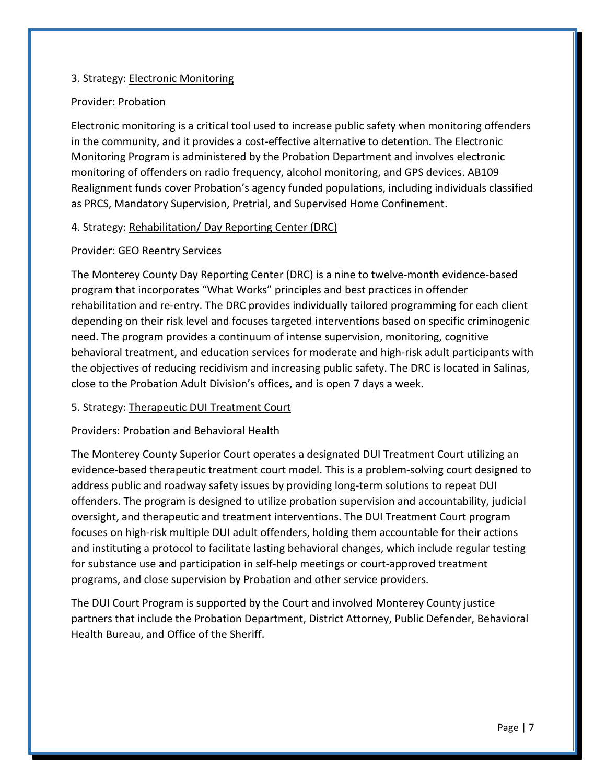#### 3. Strategy: Electronic Monitoring

#### Provider: Probation

Electronic monitoring is a critical tool used to increase public safety when monitoring offenders in the community, and it provides a cost-effective alternative to detention. The Electronic Monitoring Program is administered by the Probation Department and involves electronic monitoring of offenders on radio frequency, alcohol monitoring, and GPS devices. AB109 Realignment funds cover Probation's agency funded populations, including individuals classified as PRCS, Mandatory Supervision, Pretrial, and Supervised Home Confinement.

#### 4. Strategy: Rehabilitation/ Day Reporting Center (DRC)

#### Provider: GEO Reentry Services

The Monterey County Day Reporting Center (DRC) is a nine to twelve-month evidence-based program that incorporates "What Works" principles and best practices in offender rehabilitation and re-entry. The DRC provides individually tailored programming for each client depending on their risk level and focuses targeted interventions based on specific criminogenic need. The program provides a continuum of intense supervision, monitoring, cognitive behavioral treatment, and education services for moderate and high-risk adult participants with the objectives of reducing recidivism and increasing public safety. The DRC is located in Salinas, close to the Probation Adult Division's offices, and is open 7 days a week.

#### 5. Strategy: Therapeutic DUI Treatment Court

#### Providers: Probation and Behavioral Health

The Monterey County Superior Court operates a designated DUI Treatment Court utilizing an evidence-based therapeutic treatment court model. This is a problem-solving court designed to address public and roadway safety issues by providing long-term solutions to repeat DUI offenders. The program is designed to utilize probation supervision and accountability, judicial oversight, and therapeutic and treatment interventions. The DUI Treatment Court program focuses on high-risk multiple DUI adult offenders, holding them accountable for their actions and instituting a protocol to facilitate lasting behavioral changes, which include regular testing for substance use and participation in self-help meetings or court-approved treatment programs, and close supervision by Probation and other service providers.

The DUI Court Program is supported by the Court and involved Monterey County justice partners that include the Probation Department, District Attorney, Public Defender, Behavioral Health Bureau, and Office of the Sheriff.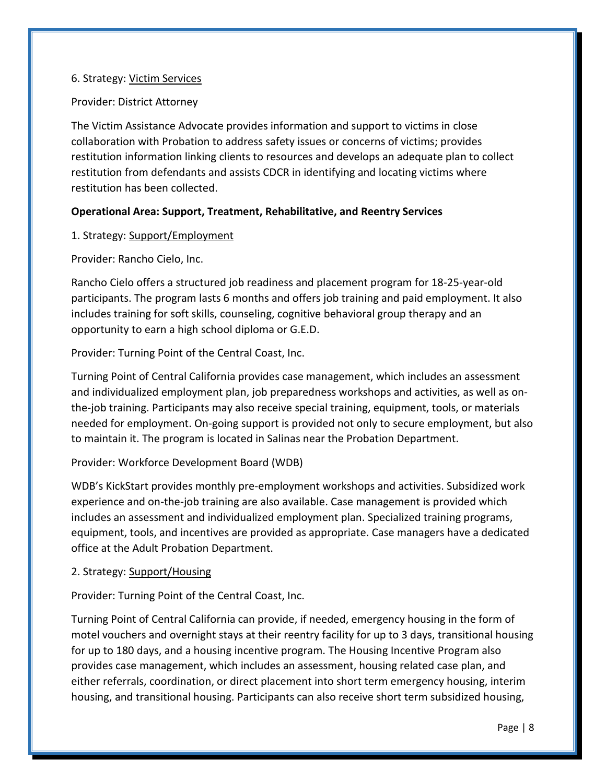#### 6. Strategy: Victim Services

#### Provider: District Attorney

The Victim Assistance Advocate provides information and support to victims in close collaboration with Probation to address safety issues or concerns of victims; provides restitution information linking clients to resources and develops an adequate plan to collect restitution from defendants and assists CDCR in identifying and locating victims where restitution has been collected.

#### **Operational Area: Support, Treatment, Rehabilitative, and Reentry Services**

#### 1. Strategy: Support/Employment

#### Provider: Rancho Cielo, Inc.

Rancho Cielo offers a structured job readiness and placement program for 18-25-year-old participants. The program lasts 6 months and offers job training and paid employment. It also includes training for soft skills, counseling, cognitive behavioral group therapy and an opportunity to earn a high school diploma or G.E.D.

Provider: Turning Point of the Central Coast, Inc.

Turning Point of Central California provides case management, which includes an assessment and individualized employment plan, job preparedness workshops and activities, as well as onthe-job training. Participants may also receive special training, equipment, tools, or materials needed for employment. On-going support is provided not only to secure employment, but also to maintain it. The program is located in Salinas near the Probation Department.

#### Provider: Workforce Development Board (WDB)

WDB's KickStart provides monthly pre-employment workshops and activities. Subsidized work experience and on-the-job training are also available. Case management is provided which includes an assessment and individualized employment plan. Specialized training programs, equipment, tools, and incentives are provided as appropriate. Case managers have a dedicated office at the Adult Probation Department.

#### 2. Strategy: Support/Housing

Provider: Turning Point of the Central Coast, Inc.

Turning Point of Central California can provide, if needed, emergency housing in the form of motel vouchers and overnight stays at their reentry facility for up to 3 days, transitional housing for up to 180 days, and a housing incentive program. The Housing Incentive Program also provides case management, which includes an assessment, housing related case plan, and either referrals, coordination, or direct placement into short term emergency housing, interim housing, and transitional housing. Participants can also receive short term subsidized housing,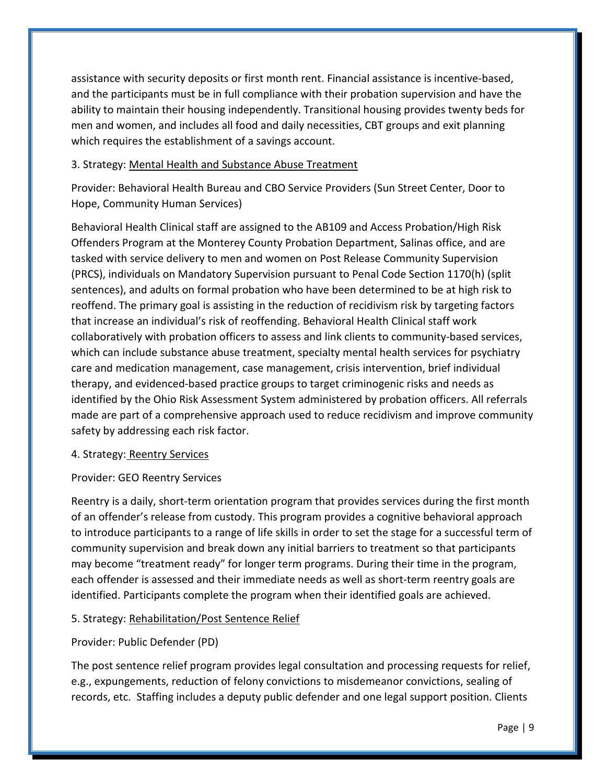assistance with security deposits or first month rent. Financial assistance is incentive-based, and the participants must be in full compliance with their probation supervision and have the ability to maintain their housing independently. Transitional housing provides twenty beds for men and women, and includes all food and daily necessities, CBT groups and exit planning which requires the establishment of a savings account.

#### 3. Strategy: Mental Health and Substance Abuse Treatment

Provider: Behavioral Health Bureau and CBO Service Providers (Sun Street Center, Door to Hope, Community Human Services)

Behavioral Health Clinical staff are assigned to the AB109 and Access Probation/High Risk Offenders Program at the Monterey County Probation Department, Salinas office, and are tasked with service delivery to men and women on Post Release Community Supervision (PRCS), individuals on Mandatory Supervision pursuant to Penal Code Section 1170(h) (split sentences), and adults on formal probation who have been determined to be at high risk to reoffend. The primary goal is assisting in the reduction of recidivism risk by targeting factors that increase an individual's risk of reoffending. Behavioral Health Clinical staff work collaboratively with probation officers to assess and link clients to community-based services, which can include substance abuse treatment, specialty mental health services for psychiatry care and medication management, case management, crisis intervention, brief individual therapy, and evidenced-based practice groups to target criminogenic risks and needs as identified by the Ohio Risk Assessment System administered by probation officers. All referrals made are part of a comprehensive approach used to reduce recidivism and improve community safety by addressing each risk factor.

#### 4. Strategy: Reentry Services

#### Provider: GEO Reentry Services

Reentry is a daily, short-term orientation program that provides services during the first month of an offender's release from custody. This program provides a cognitive behavioral approach to introduce participants to a range of life skills in order to set the stage for a successful term of community supervision and break down any initial barriers to treatment so that participants may become "treatment ready" for longer term programs. During their time in the program, each offender is assessed and their immediate needs as well as short-term reentry goals are identified. Participants complete the program when their identified goals are achieved.

#### 5. Strategy: Rehabilitation/Post Sentence Relief

#### Provider: Public Defender (PD)

The post sentence relief program provides legal consultation and processing requests for relief, e.g., expungements, reduction of felony convictions to misdemeanor convictions, sealing of records, etc. Staffing includes a deputy public defender and one legal support position. Clients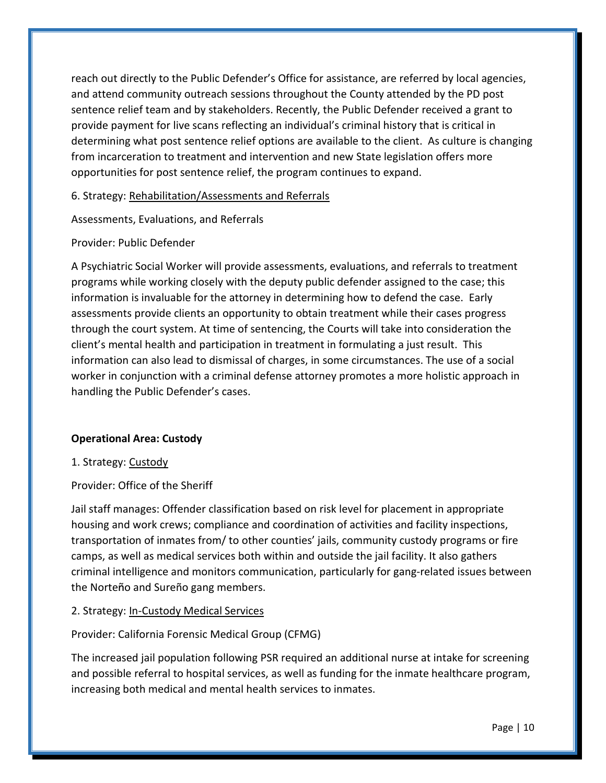reach out directly to the Public Defender's Office for assistance, are referred by local agencies, and attend community outreach sessions throughout the County attended by the PD post sentence relief team and by stakeholders. Recently, the Public Defender received a grant to provide payment for live scans reflecting an individual's criminal history that is critical in determining what post sentence relief options are available to the client. As culture is changing from incarceration to treatment and intervention and new State legislation offers more opportunities for post sentence relief, the program continues to expand.

6. Strategy: Rehabilitation/Assessments and Referrals

Assessments, Evaluations, and Referrals

#### Provider: Public Defender

A Psychiatric Social Worker will provide assessments, evaluations, and referrals to treatment programs while working closely with the deputy public defender assigned to the case; this information is invaluable for the attorney in determining how to defend the case. Early assessments provide clients an opportunity to obtain treatment while their cases progress through the court system. At time of sentencing, the Courts will take into consideration the client's mental health and participation in treatment in formulating a just result. This information can also lead to dismissal of charges, in some circumstances. The use of a social worker in conjunction with a criminal defense attorney promotes a more holistic approach in handling the Public Defender's cases.

#### **Operational Area: Custody**

#### 1. Strategy: Custody

#### Provider: Office of the Sheriff

Jail staff manages: Offender classification based on risk level for placement in appropriate housing and work crews; compliance and coordination of activities and facility inspections, transportation of inmates from/ to other counties' jails, community custody programs or fire camps, as well as medical services both within and outside the jail facility. It also gathers criminal intelligence and monitors communication, particularly for gang-related issues between the Norteño and Sureño gang members.

#### 2. Strategy: In-Custody Medical Services

#### Provider: California Forensic Medical Group (CFMG)

The increased jail population following PSR required an additional nurse at intake for screening and possible referral to hospital services, as well as funding for the inmate healthcare program, increasing both medical and mental health services to inmates.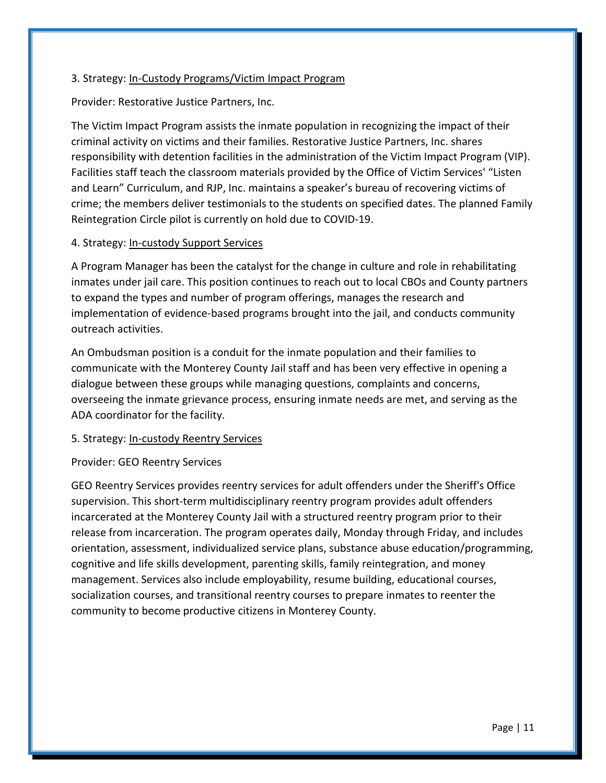#### 3. Strategy: In-Custody Programs/Victim Impact Program

Provider: Restorative Justice Partners, Inc.

The Victim Impact Program assists the inmate population in recognizing the impact of their criminal activity on victims and their families. Restorative Justice Partners, Inc. shares responsibility with detention facilities in the administration of the Victim Impact Program (VIP). Facilities staff teach the classroom materials provided by the Office of Victim Services' "Listen and Learn" Curriculum, and RJP, Inc. maintains a speaker's bureau of recovering victims of crime; the members deliver testimonials to the students on specified dates. The planned Family Reintegration Circle pilot is currently on hold due to COVID-19.

#### 4. Strategy: In-custody Support Services

A Program Manager has been the catalyst for the change in culture and role in rehabilitating inmates under jail care. This position continues to reach out to local CBOs and County partners to expand the types and number of program offerings, manages the research and implementation of evidence-based programs brought into the jail, and conducts community outreach activities.

An Ombudsman position is a conduit for the inmate population and their families to communicate with the Monterey County Jail staff and has been very effective in opening a dialogue between these groups while managing questions, complaints and concerns, overseeing the inmate grievance process, ensuring inmate needs are met, and serving as the ADA coordinator for the facility.

#### 5. Strategy: In-custody Reentry Services

#### Provider: GEO Reentry Services

GEO Reentry Services provides reentry services for adult offenders under the Sheriff's Office supervision. This short-term multidisciplinary reentry program provides adult offenders incarcerated at the Monterey County Jail with a structured reentry program prior to their release from incarceration. The program operates daily, Monday through Friday, and includes orientation, assessment, individualized service plans, substance abuse education/programming, cognitive and life skills development, parenting skills, family reintegration, and money management. Services also include employability, resume building, educational courses, socialization courses, and transitional reentry courses to prepare inmates to reenter the community to become productive citizens in Monterey County.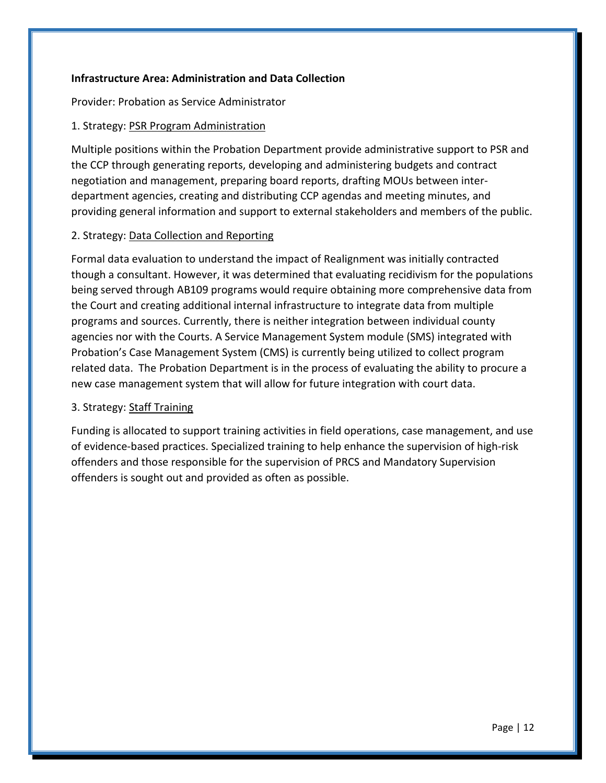#### **Infrastructure Area: Administration and Data Collection**

Provider: Probation as Service Administrator

#### 1. Strategy: PSR Program Administration

Multiple positions within the Probation Department provide administrative support to PSR and the CCP through generating reports, developing and administering budgets and contract negotiation and management, preparing board reports, drafting MOUs between interdepartment agencies, creating and distributing CCP agendas and meeting minutes, and providing general information and support to external stakeholders and members of the public.

#### 2. Strategy: Data Collection and Reporting

Formal data evaluation to understand the impact of Realignment was initially contracted though a consultant. However, it was determined that evaluating recidivism for the populations being served through AB109 programs would require obtaining more comprehensive data from the Court and creating additional internal infrastructure to integrate data from multiple programs and sources. Currently, there is neither integration between individual county agencies nor with the Courts. A Service Management System module (SMS) integrated with Probation's Case Management System (CMS) is currently being utilized to collect program related data. The Probation Department is in the process of evaluating the ability to procure a new case management system that will allow for future integration with court data.

#### 3. Strategy: Staff Training

Funding is allocated to support training activities in field operations, case management, and use of evidence-based practices. Specialized training to help enhance the supervision of high-risk offenders and those responsible for the supervision of PRCS and Mandatory Supervision offenders is sought out and provided as often as possible.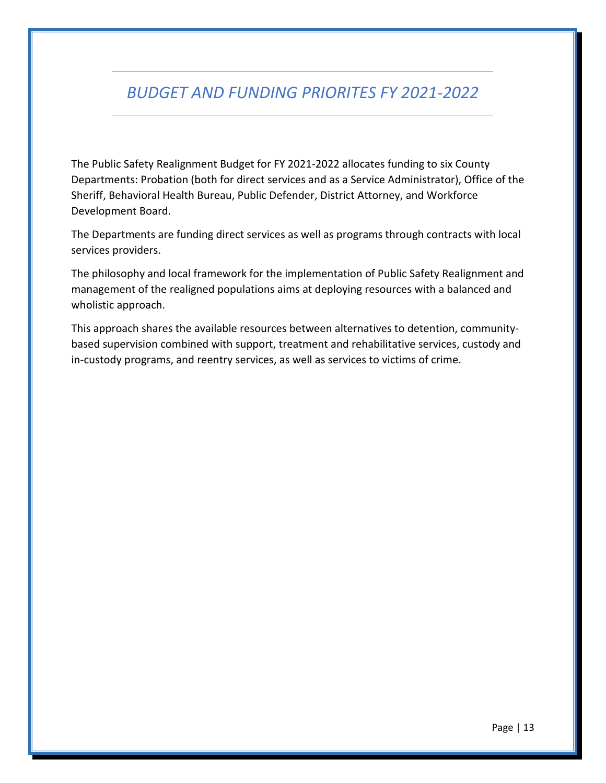## *BUDGET AND FUNDING PRIORITES FY 2021-2022*

The Public Safety Realignment Budget for FY 2021-2022 allocates funding to six County Departments: Probation (both for direct services and as a Service Administrator), Office of the Sheriff, Behavioral Health Bureau, Public Defender, District Attorney, and Workforce Development Board.

The Departments are funding direct services as well as programs through contracts with local services providers.

The philosophy and local framework for the implementation of Public Safety Realignment and management of the realigned populations aims at deploying resources with a balanced and wholistic approach.

This approach shares the available resources between alternatives to detention, communitybased supervision combined with support, treatment and rehabilitative services, custody and in-custody programs, and reentry services, as well as services to victims of crime.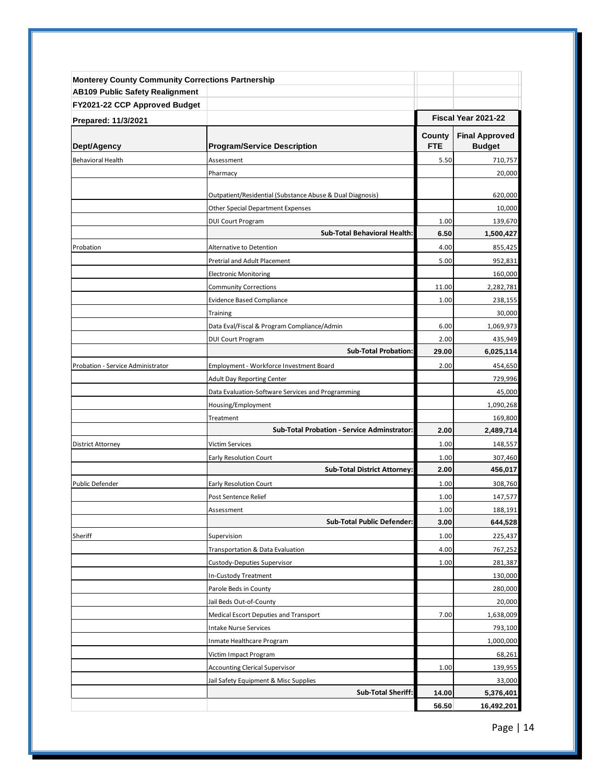| <b>Monterey County Community Corrections Partnership</b> |                                                                      |                      |                                        |
|----------------------------------------------------------|----------------------------------------------------------------------|----------------------|----------------------------------------|
| <b>AB109 Public Safety Realignment</b>                   |                                                                      |                      |                                        |
| FY2021-22 CCP Approved Budget                            |                                                                      |                      |                                        |
| Prepared: 11/3/2021                                      |                                                                      |                      | Fiscal Year 2021-22                    |
| Dept/Agency                                              | <b>Program/Service Description</b>                                   | County<br><b>FTE</b> | <b>Final Approved</b><br><b>Budget</b> |
| <b>Behavioral Health</b>                                 | Assessment                                                           | 5.50                 | 710,757                                |
|                                                          | Pharmacy                                                             |                      | 20,000                                 |
|                                                          |                                                                      |                      |                                        |
|                                                          | Outpatient/Residential (Substance Abuse & Dual Diagnosis)            |                      | 620,000                                |
|                                                          | <b>Other Special Department Expenses</b>                             |                      | 10,000                                 |
|                                                          | <b>DUI Court Program</b>                                             | 1.00                 | 139,670                                |
|                                                          | <b>Sub-Total Behavioral Health:</b>                                  | 6.50                 | 1,500,427                              |
| Probation                                                | Alternative to Detention                                             | 4.00                 | 855,425                                |
|                                                          | Pretrial and Adult Placement                                         | 5.00                 | 952,831                                |
|                                                          | <b>Electronic Monitoring</b>                                         |                      | 160,000                                |
|                                                          | <b>Community Corrections</b>                                         | 11.00                | 2,282,781                              |
|                                                          | <b>Evidence Based Compliance</b>                                     | 1.00                 | 238,155                                |
|                                                          | Training                                                             |                      | 30,000                                 |
|                                                          | Data Eval/Fiscal & Program Compliance/Admin                          | 6.00                 | 1,069,973                              |
|                                                          | <b>DUI Court Program</b>                                             | 2.00                 | 435,949                                |
|                                                          | <b>Sub-Total Probation:</b>                                          | 29.00                | 6,025,114                              |
| Probation - Service Administrator                        | Employment - Workforce Investment Board                              | 2.00                 | 454,650                                |
|                                                          | <b>Adult Day Reporting Center</b>                                    |                      | 729,996                                |
|                                                          | Data Evaluation-Software Services and Programming                    |                      | 45,000                                 |
|                                                          | Housing/Employment                                                   |                      | 1,090,268                              |
|                                                          | Treatment                                                            |                      | 169,800                                |
|                                                          | <b>Sub-Total Probation - Service Adminstrator:</b>                   | 2.00                 | 2,489,714                              |
| District Attorney                                        | Victim Services                                                      | 1.00                 | 148,557                                |
|                                                          | <b>Early Resolution Court</b><br><b>Sub-Total District Attorney:</b> | 1.00<br>2.00         | 307,460                                |
|                                                          |                                                                      |                      | 456,017                                |
| <b>Public Defender</b>                                   | Early Resolution Court                                               | 1.00                 | 308,760                                |
|                                                          | Post Sentence Relief                                                 | 1.00                 | 147,577                                |
|                                                          | Assessment<br><b>Sub-Total Public Defender:</b>                      | 1.00<br>3.00         | 188,191<br>644,528                     |
| Sheriff                                                  | Supervision                                                          | 1.00                 | 225,437                                |
|                                                          | Transportation & Data Evaluation                                     | 4.00                 | 767,252                                |
|                                                          | Custody-Deputies Supervisor                                          | 1.00                 | 281,387                                |
|                                                          | In-Custody Treatment                                                 |                      | 130,000                                |
|                                                          | Parole Beds in County                                                |                      | 280,000                                |
|                                                          | Jail Beds Out-of-County                                              |                      | 20,000                                 |
|                                                          | Medical Escort Deputies and Transport                                | 7.00                 | 1,638,009                              |
|                                                          | <b>Intake Nurse Services</b>                                         |                      | 793,100                                |
|                                                          | Inmate Healthcare Program                                            |                      | 1,000,000                              |
|                                                          | Victim Impact Program                                                |                      | 68,261                                 |
|                                                          | <b>Accounting Clerical Supervisor</b>                                | 1.00                 | 139,955                                |
|                                                          | Jail Safety Equipment & Misc Supplies                                |                      | 33,000                                 |
|                                                          | <b>Sub-Total Sheriff:</b>                                            | 14.00                | 5,376,401                              |
|                                                          |                                                                      | 56.50                | 16,492,201                             |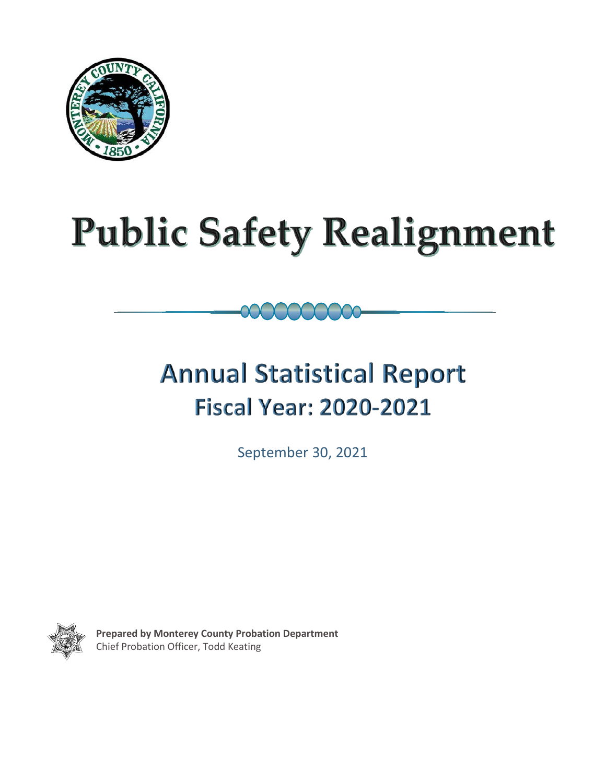

# **Public Safety Realignment**

## **Annual Statistical Report Fiscal Year: 2020-2021**

September 30, 2021



 **Prepared by Monterey County Probation Department** Chief Probation Officer, Todd Keating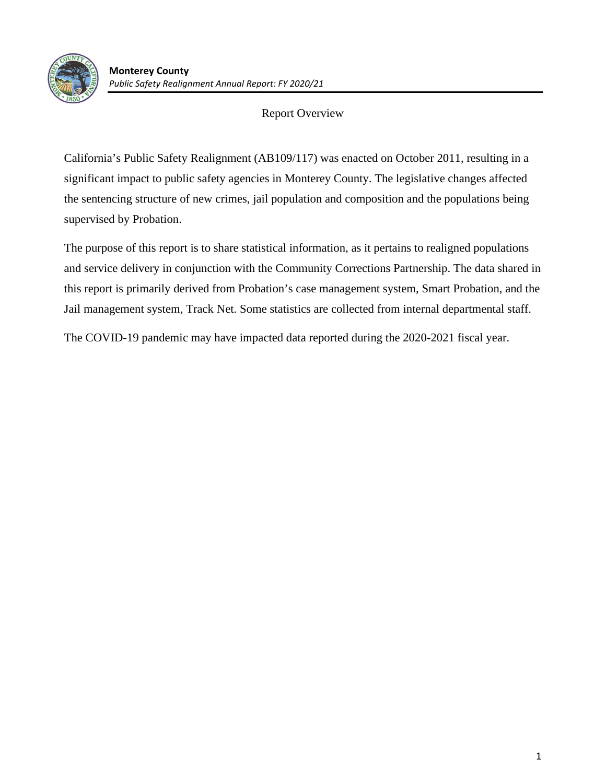

#### Report Overview

California's Public Safety Realignment (AB109/117) was enacted on October 2011, resulting in a significant impact to public safety agencies in Monterey County. The legislative changes affected the sentencing structure of new crimes, jail population and composition and the populations being supervised by Probation.

The purpose of this report is to share statistical information, as it pertains to realigned populations and service delivery in conjunction with the Community Corrections Partnership. The data shared in this report is primarily derived from Probation's case management system, Smart Probation, and the Jail management system, Track Net. Some statistics are collected from internal departmental staff.

The COVID-19 pandemic may have impacted data reported during the 2020-2021 fiscal year.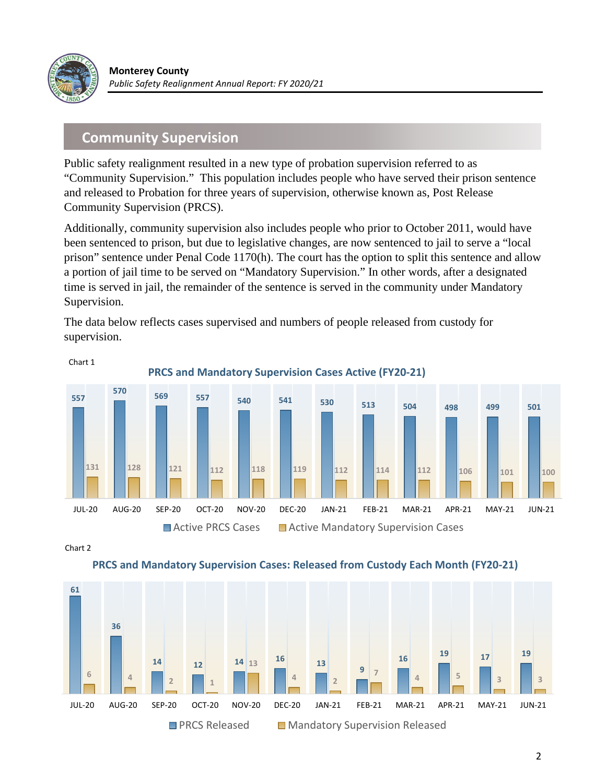

### **Community Supervision**

Public safety realignment resulted in a new type of probation supervision referred to as "Community Supervision." This population includes people who have served their prison sentence and released to Probation for three years of supervision, otherwise known as, Post Release Community Supervision (PRCS).

Additionally, community supervision also includes people who prior to October 2011, would have been sentenced to prison, but due to legislative changes, are now sentenced to jail to serve a "local prison" sentence under Penal Code 1170(h). The court has the option to split this sentence and allow a portion of jail time to be served on "Mandatory Supervision." In other words, after a designated time is served in jail, the remainder of the sentence is served in the community under Mandatory Supervision.

The data below reflects cases supervised and numbers of people released from custody for supervision.



Chart 2



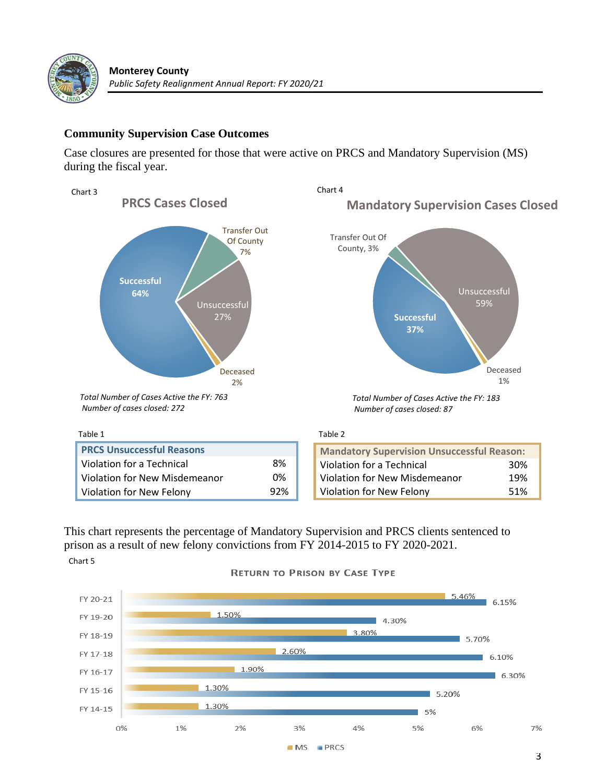

#### **Community Supervision Case Outcomes**

Case closures are presented for those that were active on PRCS and Mandatory Supervision (MS) during the fiscal year.



This chart represents the percentage of Mandatory Supervision and PRCS clients sentenced to prison as a result of new felony convictions from FY 2014-2015 to FY 2020-2021. Chart 5



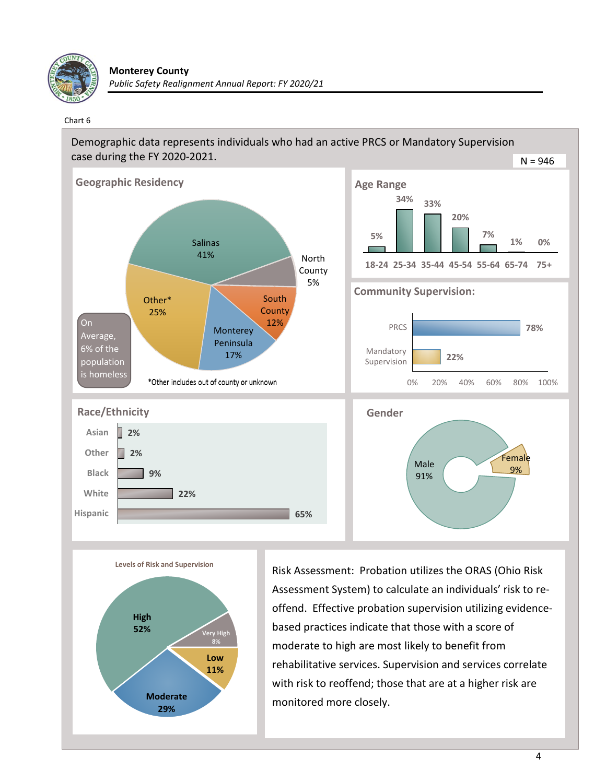

#### Chart 6





Risk Assessment: Probation utilizes the ORAS (Ohio Risk Assessment System) to calculate an individuals' risk to reoffend. Effective probation supervision utilizing evidencebased practices indicate that those with a score of moderate to high are most likely to benefit from rehabilitative services. Supervision and services correlate with risk to reoffend; those that are at a higher risk are monitored more closely.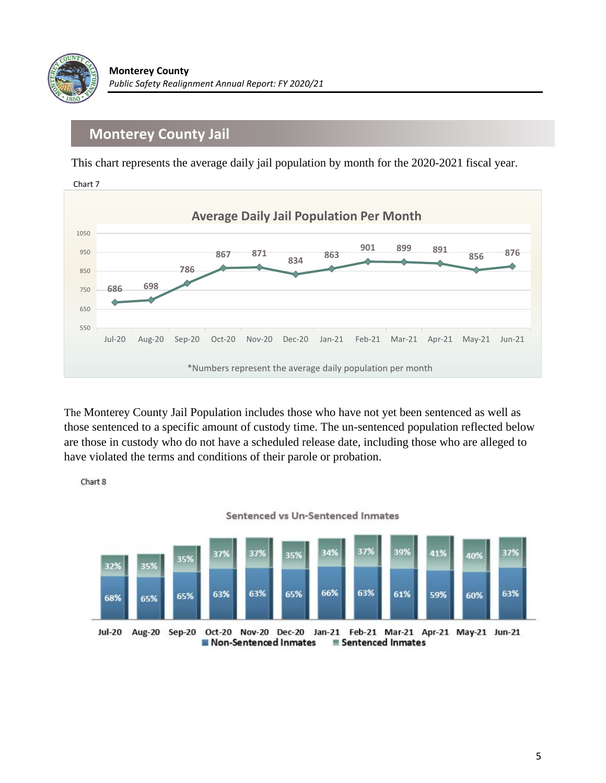

### **Monterey County Jail**

This chart represents the average daily jail population by month for the 2020-2021 fiscal year.



The Monterey County Jail Population includes those who have not yet been sentenced as well as those sentenced to a specific amount of custody time. The un-sentenced population reflected below are those in custody who do not have a scheduled release date, including those who are alleged to have violated the terms and conditions of their parole or probation.

Chart 8



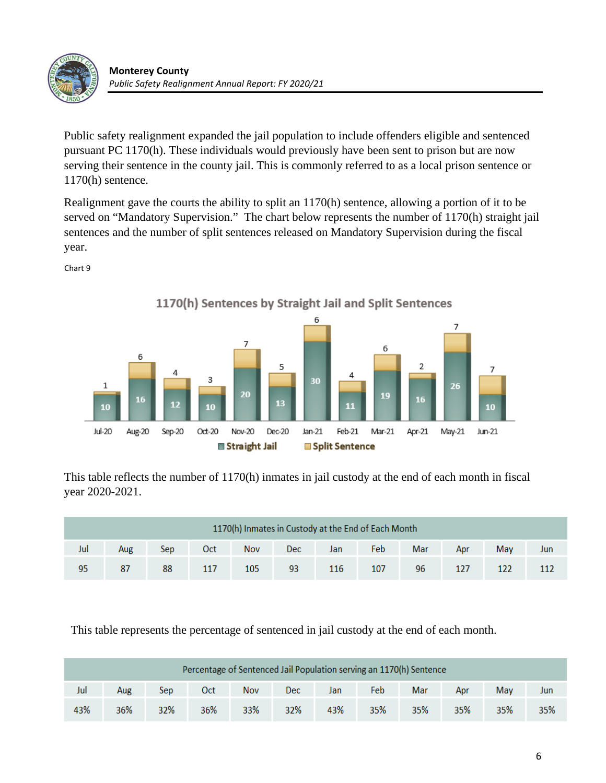

Public safety realignment expanded the jail population to include offenders eligible and sentenced pursuant PC 1170(h). These individuals would previously have been sent to prison but are now serving their sentence in the county jail. This is commonly referred to as a local prison sentence or 1170(h) sentence.

Realignment gave the courts the ability to split an 1170(h) sentence, allowing a portion of it to be served on "Mandatory Supervision." The chart below represents the number of 1170(h) straight jail sentences and the number of split sentences released on Mandatory Supervision during the fiscal year.



Chart 9

This table reflects the number of 1170(h) inmates in jail custody at the end of each month in fiscal year 2020-2021.

| 1170(h) Inmates in Custody at the End of Each Month |     |     |     |            |      |     |      |     |     |     |     |
|-----------------------------------------------------|-----|-----|-----|------------|------|-----|------|-----|-----|-----|-----|
| Jul                                                 | Aug | Sep | Oct | <b>Nov</b> | Dec. | Jan | Febl | Mar | Apr | May | Jun |
| 95                                                  | 87  | 88  | 117 | 105        | 93   | 116 | 107  | 96  | 127 |     |     |

This table represents the percentage of sentenced in jail custody at the end of each month.

| Percentage of Sentenced Jail Population serving an 1170(h) Sentence |     |     |     |            |            |     |     |     |     |     |     |
|---------------------------------------------------------------------|-----|-----|-----|------------|------------|-----|-----|-----|-----|-----|-----|
| Jul                                                                 | Aug | Sep | 0ct | <b>Nov</b> | <b>Dec</b> | Jan | Feb | Mar | Apr | May | Jun |
| 43%                                                                 | 36% | 32% | 36% | 33%        | 32%        | 43% | 35% | 35% | 35% | 35% | 35% |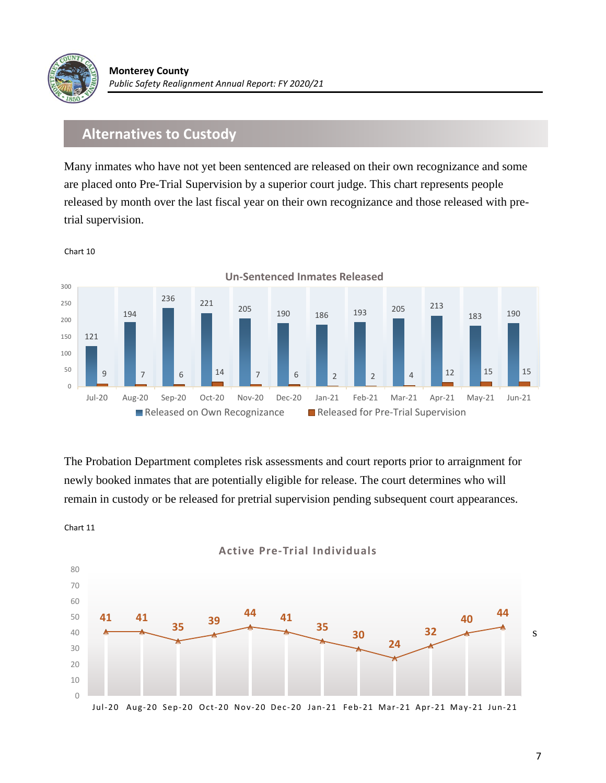

#### **Alternatives to Custody**

Many inmates who have not yet been sentenced are released on their own recognizance and some are placed onto Pre-Trial Supervision by a superior court judge. This chart represents people released by month over the last fiscal year on their own recognizance and those released with pretrial supervision.



Chart 10

Chart 11

The Probation Department completes risk assessments and court reports prior to arraignment for newly booked inmates that are potentially eligible for release. The court determines who will remain in custody or be released for pretrial supervision pending subsequent court appearances.



7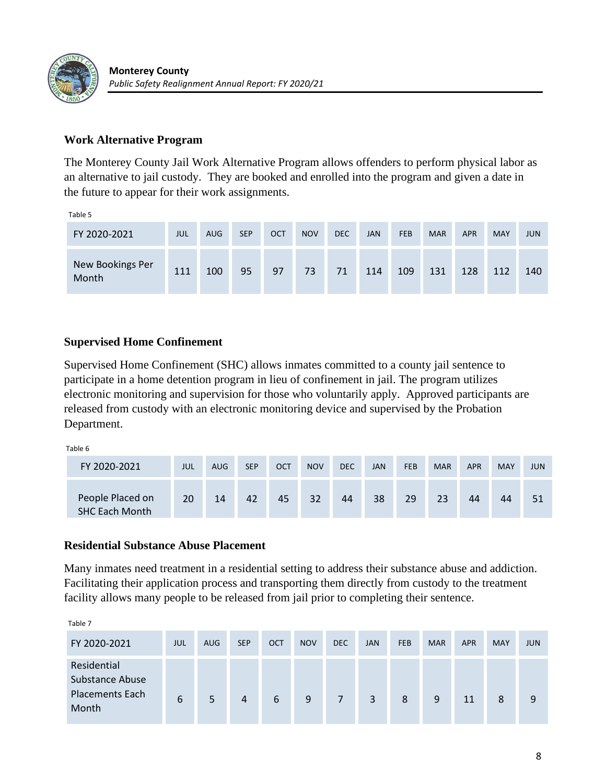

#### **Work Alternative Program**

The Monterey County Jail Work Alternative Program allows offenders to perform physical labor as an alternative to jail custody. They are booked and enrolled into the program and given a date in the future to appear for their work assignments.

Table 5

| FY 2020-2021              | JUL | <b>AUG</b> | <b>SEP</b> | <b>OCT</b> | <b>NOV</b> | <b>DEC</b> | <b>JAN</b> | <b>FEB</b> | <b>MAR</b> | <b>APR</b> | <b>MAY</b> | <b>JUN</b> |
|---------------------------|-----|------------|------------|------------|------------|------------|------------|------------|------------|------------|------------|------------|
| New Bookings Per<br>Month | 111 | 100        | 95         | 97         | 73         | 71         | 114        | 109        | 131        | 128        | 112        | 140        |

#### **Supervised Home Confinement**

Supervised Home Confinement (SHC) allows inmates committed to a county jail sentence to participate in a home detention program in lieu of confinement in jail. The program utilizes electronic monitoring and supervision for those who voluntarily apply. Approved participants are released from custody with an electronic monitoring device and supervised by the Probation Department.

Table 6

| FY 2020-2021                              | JUL | <b>AUG</b> | <b>SEP</b> | OCT | <b>NOV</b> | <b>DEC</b> | <b>JAN</b> | <b>FEB</b> | <b>MAR</b> | <b>APR</b> | <b>MAY</b> | <b>JUN</b> |
|-------------------------------------------|-----|------------|------------|-----|------------|------------|------------|------------|------------|------------|------------|------------|
| People Placed on<br><b>SHC Each Month</b> | 20  | 14         | 42         | 45  | 32         | 44         | 38         | 29         | 23         | 44         | 44         | 51         |

#### **Residential Substance Abuse Placement**

Many inmates need treatment in a residential setting to address their substance abuse and addiction. Facilitating their application process and transporting them directly from custody to the treatment facility allows many people to be released from jail prior to completing their sentence.

| FY 2020-2021                                                      | <b>JUL</b> | <b>AUG</b> | <b>SEP</b> | <b>OCT</b> | <b>NOV</b> | <b>DEC</b> | <b>JAN</b> | <b>FEB</b> | <b>MAR</b> | <b>APR</b> | <b>MAY</b> | <b>JUN</b> |
|-------------------------------------------------------------------|------------|------------|------------|------------|------------|------------|------------|------------|------------|------------|------------|------------|
| Residential<br>Substance Abuse<br><b>Placements Each</b><br>Month | 6          | 5          | 4          | 6          | 9          |            | 3          | 8          | 9          | 11         | 8          | 9          |

Table 7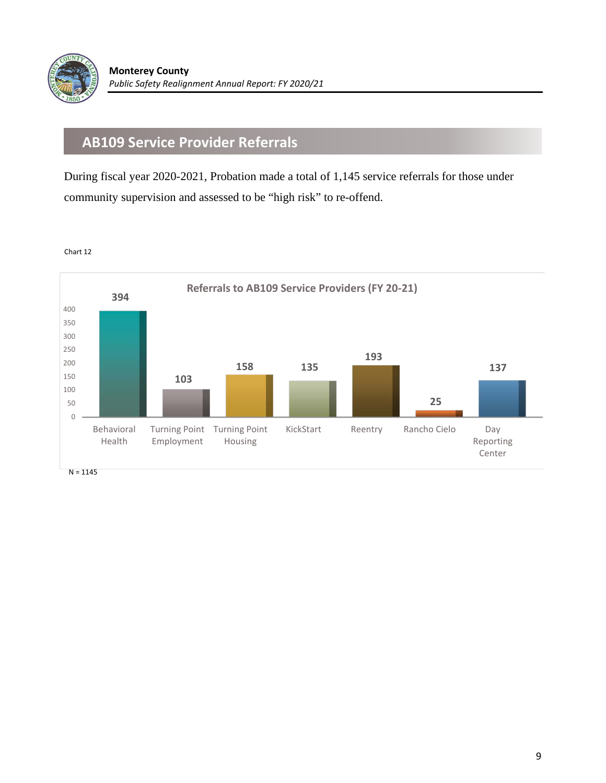

## **AB109 Service Provider Referrals**

During fiscal year 2020-2021, Probation made a total of 1,145 service referrals for those under community supervision and assessed to be "high risk" to re-offend.

Chart 12